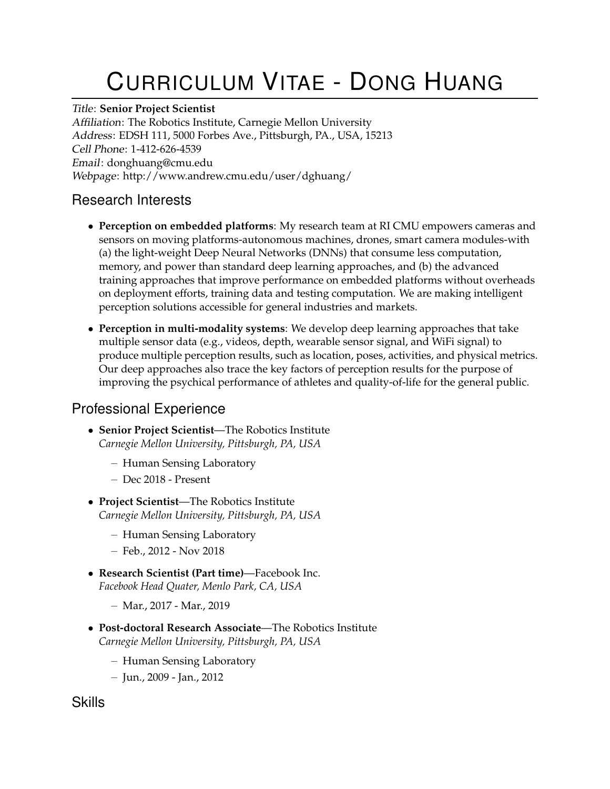# CURRICULUM VITAE - DONG HUANG

#### Title: **Senior Project Scientist**

Affiliation: The Robotics Institute, Carnegie Mellon University Address: EDSH 111, 5000 Forbes Ave., Pittsburgh, PA., USA, 15213 Cell Phone: 1-412-626-4539 Email: donghuang@cmu.edu Webpage: http://www.andrew.cmu.edu/user/dghuang/

## Research Interests

- **Perception on embedded platforms**: My research team at RI CMU empowers cameras and sensors on moving platforms-autonomous machines, drones, smart camera modules-with (a) the light-weight Deep Neural Networks (DNNs) that consume less computation, memory, and power than standard deep learning approaches, and (b) the advanced training approaches that improve performance on embedded platforms without overheads on deployment efforts, training data and testing computation. We are making intelligent perception solutions accessible for general industries and markets.
- **Perception in multi-modality systems**: We develop deep learning approaches that take multiple sensor data (e.g., videos, depth, wearable sensor signal, and WiFi signal) to produce multiple perception results, such as location, poses, activities, and physical metrics. Our deep approaches also trace the key factors of perception results for the purpose of improving the psychical performance of athletes and quality-of-life for the general public.

### Professional Experience

- **Senior Project Scientist**—The Robotics Institute *Carnegie Mellon University, Pittsburgh, PA, USA*
	- Human Sensing Laboratory
	- Dec 2018 Present
- **Project Scientist**—The Robotics Institute *Carnegie Mellon University, Pittsburgh, PA, USA*
	- Human Sensing Laboratory
	- Feb., 2012 Nov 2018
- **Research Scientist (Part time)**—Facebook Inc. *Facebook Head Quater, Menlo Park, CA, USA*
	- Mar., 2017 Mar., 2019
- **Post-doctoral Research Associate**—The Robotics Institute *Carnegie Mellon University, Pittsburgh, PA, USA*
	- Human Sensing Laboratory
	- Jun., 2009 Jan., 2012

**Skills**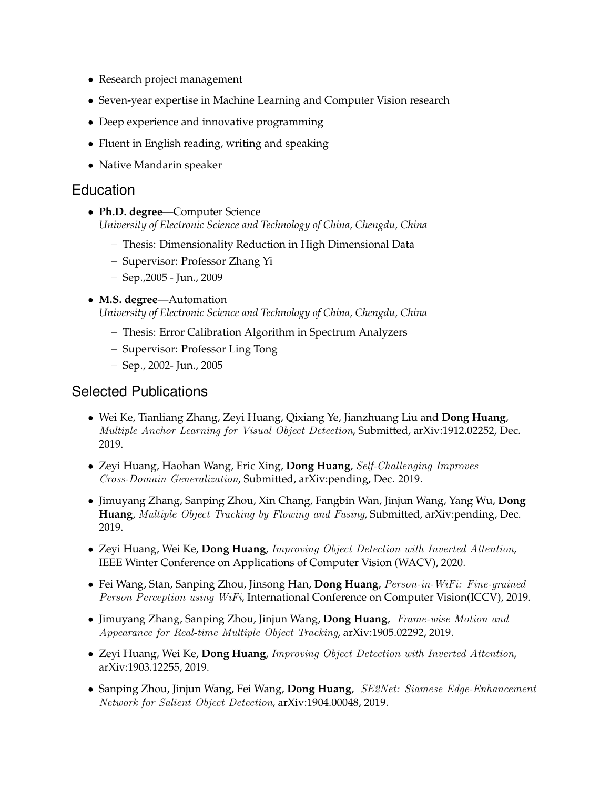- Research project management
- Seven-year expertise in Machine Learning and Computer Vision research
- Deep experience and innovative programming
- Fluent in English reading, writing and speaking
- Native Mandarin speaker

#### Education

• **Ph.D. degree**—Computer Science *University of Electronic Science and Technology of China, Chengdu, China*

- Thesis: Dimensionality Reduction in High Dimensional Data
- Supervisor: Professor Zhang Yi
- Sep.,2005 Jun., 2009
- **M.S. degree**—Automation *University of Electronic Science and Technology of China, Chengdu, China*
	- Thesis: Error Calibration Algorithm in Spectrum Analyzers
	- Supervisor: Professor Ling Tong
	- Sep., 2002- Jun., 2005

#### Selected Publications

- Wei Ke, Tianliang Zhang, Zeyi Huang, Qixiang Ye, Jianzhuang Liu and **Dong Huang**, Multiple Anchor Learning for Visual Object Detection, Submitted, arXiv:1912.02252, Dec. 2019.
- Zeyi Huang, Haohan Wang, Eric Xing, **Dong Huang**, Self-Challenging Improves Cross-Domain Generalization, Submitted, arXiv:pending, Dec. 2019.
- Jimuyang Zhang, Sanping Zhou, Xin Chang, Fangbin Wan, Jinjun Wang, Yang Wu, **Dong Huang**, Multiple Object Tracking by Flowing and Fusing, Submitted, arXiv:pending, Dec. 2019.
- Zeyi Huang, Wei Ke, **Dong Huang**, Improving Object Detection with Inverted Attention, IEEE Winter Conference on Applications of Computer Vision (WACV), 2020.
- Fei Wang, Stan, Sanping Zhou, Jinsong Han, **Dong Huang**, Person-in-WiFi: Fine-grained Person Perception using WiFi, International Conference on Computer Vision(ICCV), 2019.
- Jimuyang Zhang, Sanping Zhou, Jinjun Wang, **Dong Huang**, Frame-wise Motion and Appearance for Real-time Multiple Object Tracking, arXiv:1905.02292, 2019.
- Zeyi Huang, Wei Ke, **Dong Huang**, Improving Object Detection with Inverted Attention, arXiv:1903.12255, 2019.
- Sanping Zhou, Jinjun Wang, Fei Wang, **Dong Huang**, SE2Net: Siamese Edge-Enhancement Network for Salient Object Detection, arXiv:1904.00048, 2019.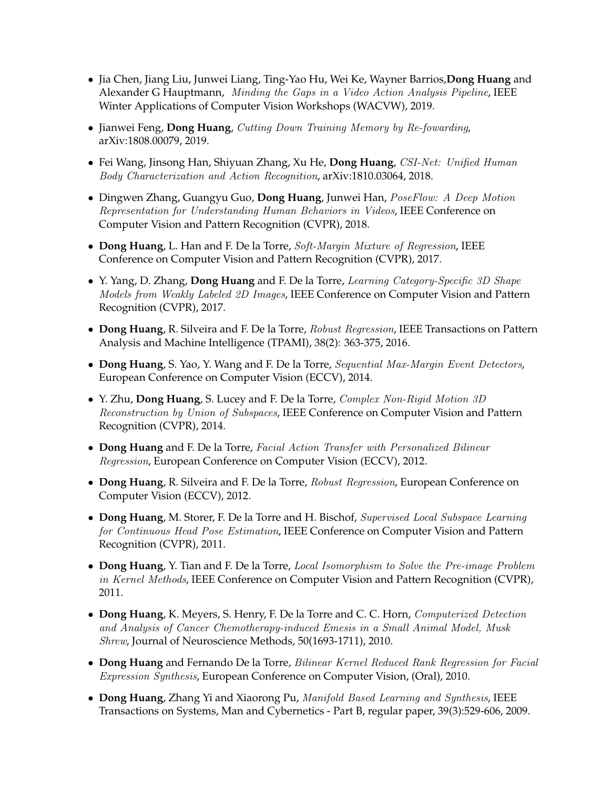- Jia Chen, Jiang Liu, Junwei Liang, Ting-Yao Hu, Wei Ke, Wayner Barrios,**Dong Huang** and Alexander G Hauptmann, Minding the Gaps in a Video Action Analysis Pipeline, IEEE Winter Applications of Computer Vision Workshops (WACVW), 2019.
- Jianwei Feng, **Dong Huang**, Cutting Down Training Memory by Re-fowarding, arXiv:1808.00079, 2019.
- Fei Wang, Jinsong Han, Shiyuan Zhang, Xu He, **Dong Huang**, CSI-Net: Unified Human Body Characterization and Action Recognition, arXiv:1810.03064, 2018.
- Dingwen Zhang, Guangyu Guo, **Dong Huang**, Junwei Han, PoseFlow: A Deep Motion Representation for Understanding Human Behaviors in Videos, IEEE Conference on Computer Vision and Pattern Recognition (CVPR), 2018.
- **Dong Huang**, L. Han and F. De la Torre, Soft-Margin Mixture of Regression, IEEE Conference on Computer Vision and Pattern Recognition (CVPR), 2017.
- Y. Yang, D. Zhang, **Dong Huang** and F. De la Torre, Learning Category-Specific 3D Shape Models from Weakly Labeled 2D Images, IEEE Conference on Computer Vision and Pattern Recognition (CVPR), 2017.
- **Dong Huang**, R. Silveira and F. De la Torre, Robust Regression, IEEE Transactions on Pattern Analysis and Machine Intelligence (TPAMI), 38(2): 363-375, 2016.
- **Dong Huang**, S. Yao, Y. Wang and F. De la Torre, Sequential Max-Margin Event Detectors, European Conference on Computer Vision (ECCV), 2014.
- Y. Zhu, **Dong Huang**, S. Lucey and F. De la Torre, Complex Non-Rigid Motion 3D Reconstruction by Union of Subspaces, IEEE Conference on Computer Vision and Pattern Recognition (CVPR), 2014.
- **Dong Huang** and F. De la Torre, Facial Action Transfer with Personalized Bilinear Regression, European Conference on Computer Vision (ECCV), 2012.
- **Dong Huang**, R. Silveira and F. De la Torre, Robust Regression, European Conference on Computer Vision (ECCV), 2012.
- **Dong Huang**, M. Storer, F. De la Torre and H. Bischof, Supervised Local Subspace Learning for Continuous Head Pose Estimation, IEEE Conference on Computer Vision and Pattern Recognition (CVPR), 2011.
- **Dong Huang**, Y. Tian and F. De la Torre, Local Isomorphism to Solve the Pre-image Problem in Kernel Methods, IEEE Conference on Computer Vision and Pattern Recognition (CVPR), 2011.
- **Dong Huang**, K. Meyers, S. Henry, F. De la Torre and C. C. Horn, Computerized Detection and Analysis of Cancer Chemotherapy-induced Emesis in a Small Animal Model, Musk Shrew, Journal of Neuroscience Methods, 50(1693-1711), 2010.
- **Dong Huang** and Fernando De la Torre, Bilinear Kernel Reduced Rank Regression for Facial Expression Synthesis, European Conference on Computer Vision, (Oral), 2010.
- **Dong Huang**, Zhang Yi and Xiaorong Pu, Manifold Based Learning and Synthesis, IEEE Transactions on Systems, Man and Cybernetics - Part B, regular paper, 39(3):529-606, 2009.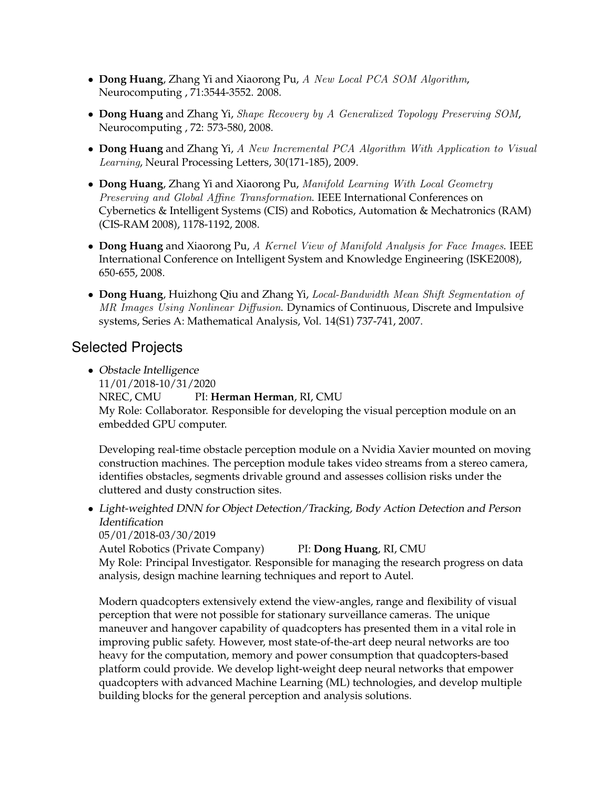- **Dong Huang**, Zhang Yi and Xiaorong Pu, A New Local PCA SOM Algorithm, Neurocomputing , 71:3544-3552. 2008.
- **Dong Huang** and Zhang Yi, Shape Recovery by A Generalized Topology Preserving SOM, Neurocomputing , 72: 573-580, 2008.
- **Dong Huang** and Zhang Yi, A New Incremental PCA Algorithm With Application to Visual Learning, Neural Processing Letters, 30(171-185), 2009.
- **Dong Huang**, Zhang Yi and Xiaorong Pu, Manifold Learning With Local Geometry Preserving and Global Affine Transformation. IEEE International Conferences on Cybernetics & Intelligent Systems (CIS) and Robotics, Automation & Mechatronics (RAM) (CIS-RAM 2008), 1178-1192, 2008.
- **Dong Huang** and Xiaorong Pu, A Kernel View of Manifold Analysis for Face Images. IEEE International Conference on Intelligent System and Knowledge Engineering (ISKE2008), 650-655, 2008.
- **Dong Huang**, Huizhong Qiu and Zhang Yi, Local-Bandwidth Mean Shift Segmentation of MR Images Using Nonlinear Diffusion. Dynamics of Continuous, Discrete and Impulsive systems, Series A: Mathematical Analysis, Vol. 14(S1) 737-741, 2007.

# Selected Projects

• Obstacle Intelligence 11/01/2018-10/31/2020 NREC, CMU PI: **Herman Herman**, RI, CMU My Role: Collaborator. Responsible for developing the visual perception module on an embedded GPU computer.

Developing real-time obstacle perception module on a Nvidia Xavier mounted on moving construction machines. The perception module takes video streams from a stereo camera, identifies obstacles, segments drivable ground and assesses collision risks under the cluttered and dusty construction sites.

• Light-weighted DNN for Object Detection/Tracking, Body Action Detection and Person Identification

05/01/2018-03/30/2019

Autel Robotics (Private Company) PI: **Dong Huang**, RI, CMU

My Role: Principal Investigator. Responsible for managing the research progress on data analysis, design machine learning techniques and report to Autel.

Modern quadcopters extensively extend the view-angles, range and flexibility of visual perception that were not possible for stationary surveillance cameras. The unique maneuver and hangover capability of quadcopters has presented them in a vital role in improving public safety. However, most state-of-the-art deep neural networks are too heavy for the computation, memory and power consumption that quadcopters-based platform could provide. We develop light-weight deep neural networks that empower quadcopters with advanced Machine Learning (ML) technologies, and develop multiple building blocks for the general perception and analysis solutions.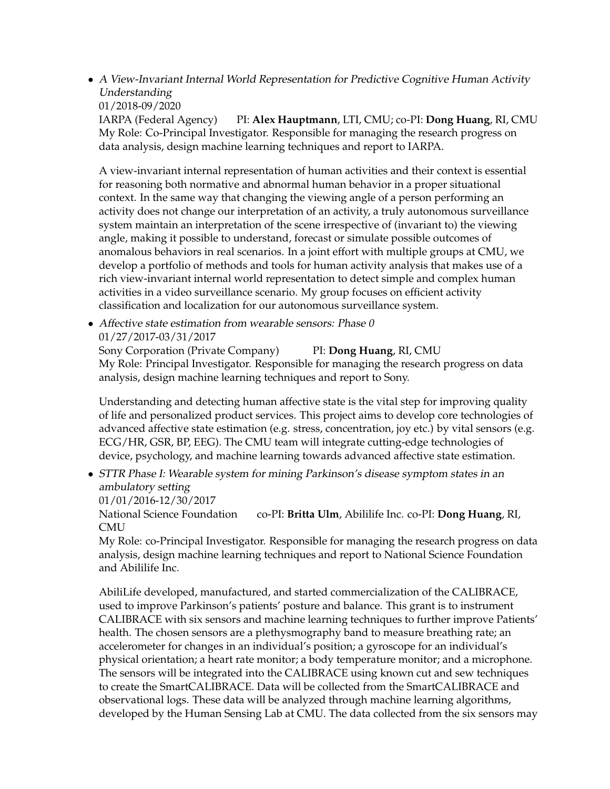• A View-Invariant Internal World Representation for Predictive Cognitive Human Activity Understanding 01/2018-09/2020 IARPA (Federal Agency) PI: **Alex Hauptmann**, LTI, CMU; co-PI: **Dong Huang**, RI, CMU My Role: Co-Principal Investigator. Responsible for managing the research progress on

data analysis, design machine learning techniques and report to IARPA.

A view-invariant internal representation of human activities and their context is essential for reasoning both normative and abnormal human behavior in a proper situational context. In the same way that changing the viewing angle of a person performing an activity does not change our interpretation of an activity, a truly autonomous surveillance system maintain an interpretation of the scene irrespective of (invariant to) the viewing angle, making it possible to understand, forecast or simulate possible outcomes of anomalous behaviors in real scenarios. In a joint effort with multiple groups at CMU, we develop a portfolio of methods and tools for human activity analysis that makes use of a rich view-invariant internal world representation to detect simple and complex human activities in a video surveillance scenario. My group focuses on efficient activity classification and localization for our autonomous surveillance system.

• Affective state estimation from wearable sensors: Phase 0 01/27/2017-03/31/2017

Sony Corporation (Private Company) PI: **Dong Huang**, RI, CMU My Role: Principal Investigator. Responsible for managing the research progress on data analysis, design machine learning techniques and report to Sony.

Understanding and detecting human affective state is the vital step for improving quality of life and personalized product services. This project aims to develop core technologies of advanced affective state estimation (e.g. stress, concentration, joy etc.) by vital sensors (e.g. ECG/HR, GSR, BP, EEG). The CMU team will integrate cutting-edge technologies of device, psychology, and machine learning towards advanced affective state estimation.

• STTR Phase I: Wearable system for mining Parkinson's disease symptom states in an ambulatory setting 01/01/2016-12/30/2017

National Science Foundation co-PI: **Britta Ulm**, Abililife Inc. co-PI: **Dong Huang**, RI, CMU

My Role: co-Principal Investigator. Responsible for managing the research progress on data analysis, design machine learning techniques and report to National Science Foundation and Abililife Inc.

AbiliLife developed, manufactured, and started commercialization of the CALIBRACE, used to improve Parkinson's patients' posture and balance. This grant is to instrument CALIBRACE with six sensors and machine learning techniques to further improve Patients' health. The chosen sensors are a plethysmography band to measure breathing rate; an accelerometer for changes in an individual's position; a gyroscope for an individual's physical orientation; a heart rate monitor; a body temperature monitor; and a microphone. The sensors will be integrated into the CALIBRACE using known cut and sew techniques to create the SmartCALIBRACE. Data will be collected from the SmartCALIBRACE and observational logs. These data will be analyzed through machine learning algorithms, developed by the Human Sensing Lab at CMU. The data collected from the six sensors may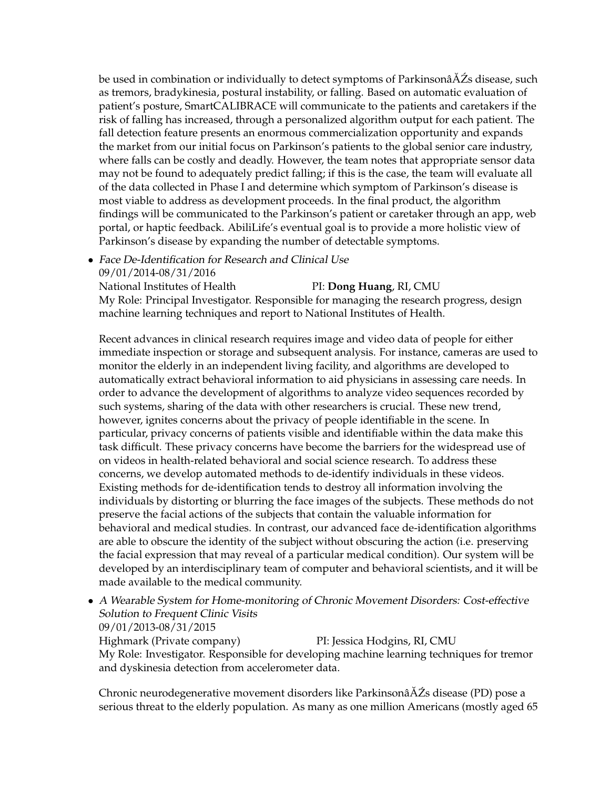be used in combination or individually to detect symptoms of Parkinsonâ $\angle$  Zs disease, such as tremors, bradykinesia, postural instability, or falling. Based on automatic evaluation of patient's posture, SmartCALIBRACE will communicate to the patients and caretakers if the risk of falling has increased, through a personalized algorithm output for each patient. The fall detection feature presents an enormous commercialization opportunity and expands the market from our initial focus on Parkinson's patients to the global senior care industry, where falls can be costly and deadly. However, the team notes that appropriate sensor data may not be found to adequately predict falling; if this is the case, the team will evaluate all of the data collected in Phase I and determine which symptom of Parkinson's disease is most viable to address as development proceeds. In the final product, the algorithm findings will be communicated to the Parkinson's patient or caretaker through an app, web portal, or haptic feedback. AbiliLife's eventual goal is to provide a more holistic view of Parkinson's disease by expanding the number of detectable symptoms.

• Face De-Identification for Research and Clinical Use 09/01/2014-08/31/2016

National Institutes of Health PI: **Dong Huang**, RI, CMU

My Role: Principal Investigator. Responsible for managing the research progress, design machine learning techniques and report to National Institutes of Health.

Recent advances in clinical research requires image and video data of people for either immediate inspection or storage and subsequent analysis. For instance, cameras are used to monitor the elderly in an independent living facility, and algorithms are developed to automatically extract behavioral information to aid physicians in assessing care needs. In order to advance the development of algorithms to analyze video sequences recorded by such systems, sharing of the data with other researchers is crucial. These new trend, however, ignites concerns about the privacy of people identifiable in the scene. In particular, privacy concerns of patients visible and identifiable within the data make this task difficult. These privacy concerns have become the barriers for the widespread use of on videos in health-related behavioral and social science research. To address these concerns, we develop automated methods to de-identify individuals in these videos. Existing methods for de-identification tends to destroy all information involving the individuals by distorting or blurring the face images of the subjects. These methods do not preserve the facial actions of the subjects that contain the valuable information for behavioral and medical studies. In contrast, our advanced face de-identification algorithms are able to obscure the identity of the subject without obscuring the action (i.e. preserving the facial expression that may reveal of a particular medical condition). Our system will be developed by an interdisciplinary team of computer and behavioral scientists, and it will be made available to the medical community.

• A Wearable System for Home-monitoring of Chronic Movement Disorders: Cost-effective Solution to Frequent Clinic Visits 09/01/2013-08/31/2015

Highmark (Private company) PI: Jessica Hodgins, RI, CMU My Role: Investigator. Responsible for developing machine learning techniques for tremor and dyskinesia detection from accelerometer data.

Chronic neurodegenerative movement disorders like ParkinsonâĂŹs disease (PD) pose a serious threat to the elderly population. As many as one million Americans (mostly aged 65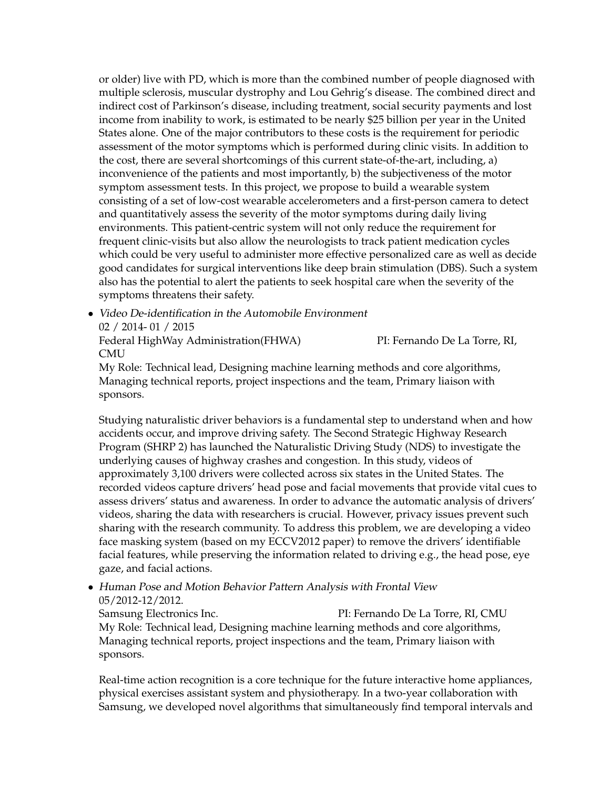or older) live with PD, which is more than the combined number of people diagnosed with multiple sclerosis, muscular dystrophy and Lou Gehrig's disease. The combined direct and indirect cost of Parkinson's disease, including treatment, social security payments and lost income from inability to work, is estimated to be nearly \$25 billion per year in the United States alone. One of the major contributors to these costs is the requirement for periodic assessment of the motor symptoms which is performed during clinic visits. In addition to the cost, there are several shortcomings of this current state-of-the-art, including, a) inconvenience of the patients and most importantly, b) the subjectiveness of the motor symptom assessment tests. In this project, we propose to build a wearable system consisting of a set of low-cost wearable accelerometers and a first-person camera to detect and quantitatively assess the severity of the motor symptoms during daily living environments. This patient-centric system will not only reduce the requirement for frequent clinic-visits but also allow the neurologists to track patient medication cycles which could be very useful to administer more effective personalized care as well as decide good candidates for surgical interventions like deep brain stimulation (DBS). Such a system also has the potential to alert the patients to seek hospital care when the severity of the symptoms threatens their safety.

• Video De-identification in the Automobile Environment

02 / 2014- 01 / 2015

Federal HighWay Administration(FHWA) PI: Fernando De La Torre, RI, CMU

My Role: Technical lead, Designing machine learning methods and core algorithms, Managing technical reports, project inspections and the team, Primary liaison with sponsors.

Studying naturalistic driver behaviors is a fundamental step to understand when and how accidents occur, and improve driving safety. The Second Strategic Highway Research Program (SHRP 2) has launched the Naturalistic Driving Study (NDS) to investigate the underlying causes of highway crashes and congestion. In this study, videos of approximately 3,100 drivers were collected across six states in the United States. The recorded videos capture drivers' head pose and facial movements that provide vital cues to assess drivers' status and awareness. In order to advance the automatic analysis of drivers' videos, sharing the data with researchers is crucial. However, privacy issues prevent such sharing with the research community. To address this problem, we are developing a video face masking system (based on my ECCV2012 paper) to remove the drivers' identifiable facial features, while preserving the information related to driving e.g., the head pose, eye gaze, and facial actions.

• Human Pose and Motion Behavior Pattern Analysis with Frontal View 05/2012-12/2012.

Samsung Electronics Inc. PI: Fernando De La Torre, RI, CMU My Role: Technical lead, Designing machine learning methods and core algorithms, Managing technical reports, project inspections and the team, Primary liaison with sponsors.

Real-time action recognition is a core technique for the future interactive home appliances, physical exercises assistant system and physiotherapy. In a two-year collaboration with Samsung, we developed novel algorithms that simultaneously find temporal intervals and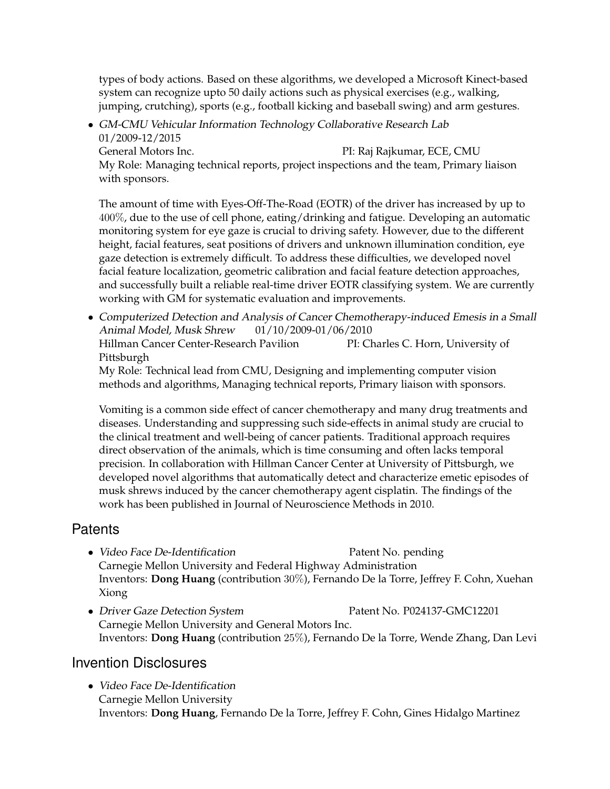types of body actions. Based on these algorithms, we developed a Microsoft Kinect-based system can recognize upto 50 daily actions such as physical exercises (e.g., walking, jumping, crutching), sports (e.g., football kicking and baseball swing) and arm gestures.

• GM-CMU Vehicular Information Technology Collaborative Research Lab 01/2009-12/2015

General Motors Inc. PI: Raj Rajkumar, ECE, CMU My Role: Managing technical reports, project inspections and the team, Primary liaison with sponsors.

The amount of time with Eyes-Off-The-Road (EOTR) of the driver has increased by up to 400%, due to the use of cell phone, eating/drinking and fatigue. Developing an automatic monitoring system for eye gaze is crucial to driving safety. However, due to the different height, facial features, seat positions of drivers and unknown illumination condition, eye gaze detection is extremely difficult. To address these difficulties, we developed novel facial feature localization, geometric calibration and facial feature detection approaches, and successfully built a reliable real-time driver EOTR classifying system. We are currently working with GM for systematic evaluation and improvements.

• Computerized Detection and Analysis of Cancer Chemotherapy-induced Emesis in a Small Animal Model, Musk Shrew 01/10/2009-01/06/2010 Hillman Cancer Center-Research Pavilion PI: Charles C. Horn, University of Pittsburgh

My Role: Technical lead from CMU, Designing and implementing computer vision methods and algorithms, Managing technical reports, Primary liaison with sponsors.

Vomiting is a common side effect of cancer chemotherapy and many drug treatments and diseases. Understanding and suppressing such side-effects in animal study are crucial to the clinical treatment and well-being of cancer patients. Traditional approach requires direct observation of the animals, which is time consuming and often lacks temporal precision. In collaboration with Hillman Cancer Center at University of Pittsburgh, we developed novel algorithms that automatically detect and characterize emetic episodes of musk shrews induced by the cancer chemotherapy agent cisplatin. The findings of the work has been published in Journal of Neuroscience Methods in 2010.

### **Patents**

- Video Face De-Identification Patent No. pending Carnegie Mellon University and Federal Highway Administration Inventors: **Dong Huang** (contribution 30%), Fernando De la Torre, Jeffrey F. Cohn, Xuehan Xiong
- Driver Gaze Detection System Patent No. P024137-GMC12201 Carnegie Mellon University and General Motors Inc. Inventors: **Dong Huang** (contribution 25%), Fernando De la Torre, Wende Zhang, Dan Levi

# Invention Disclosures

• Video Face De-Identification Carnegie Mellon University Inventors: **Dong Huang**, Fernando De la Torre, Jeffrey F. Cohn, Gines Hidalgo Martinez